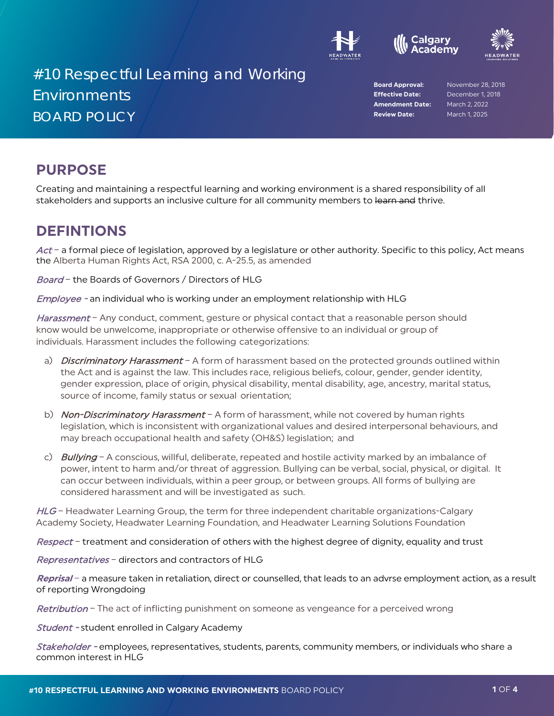





# #10 Respectful Learning and Working Environments BOARD POLICY

**Effective Date:** December 1, 2018 **Amendment Date:** March 2, 2022 **Review Date:** March 1, 2025

**Board Approval:** November 28, 2018

## **PURPOSE**

Creating and maintaining a respectful learning and working environment is a shared responsibility of all stakeholders and supports an inclusive culture for all community members to learn and thrive.

#### **DEFINTIONS**

Act – a formal piece of legislation, approved by a legislature or other authority. Specific to this policy, Act means the Alberta Human Rights Act, RSA 2000, c. A-25.5, as amended

Board - the Boards of Governors / Directors of HLG

Employee - an individual who is working under an employment relationship with HLG

Harassment - Any conduct, comment, gesture or physical contact that a reasonable person should know would be unwelcome, inappropriate or otherwise offensive to an individual or group of individuals. Harassment includes the following categorizations:

- a) Discriminatory Harassment A form of harassment based on the protected grounds outlined within the Act and is against the law. This includes race, religious beliefs, colour, gender, gender identity, gender expression, place of origin, physical disability, mental disability, age, ancestry, marital status, source of income, family status or sexual orientation;
- b) Non-Discriminatory Harassment A form of harassment, while not covered by human rights legislation, which is inconsistent with organizational values and desired interpersonal behaviours, and may breach occupational health and safety (OH&S) legislation; and
- c) Bullying A conscious, willful, deliberate, repeated and hostile activity marked by an imbalance of power, intent to harm and/or threat of aggression. Bullying can be verbal, social, physical, or digital. It can occur between individuals, within a peer group, or between groups. All forms of bullying are considered harassment and will be investigated as such.

 $HLG$  – Headwater Learning Group, the term for three independent charitable organizations-Calgary Academy Society, Headwater Learning Foundation, and Headwater Learning Solutions Foundation

Respect - treatment and consideration of others with the highest degree of dignity, equality and trust

Representatives - directors and contractors of HLG

**Reprisal** – a measure taken in retaliation, direct or counselled, that leads to an advrse employment action, as a result of reporting Wrongdoing

Retribution – The act of inflicting punishment on someone as vengeance for a perceived wrong

**Student - student enrolled in Calgary Academy** 

Stakeholder - employees, representatives, students, parents, community members, or individuals who share a common interest in HLG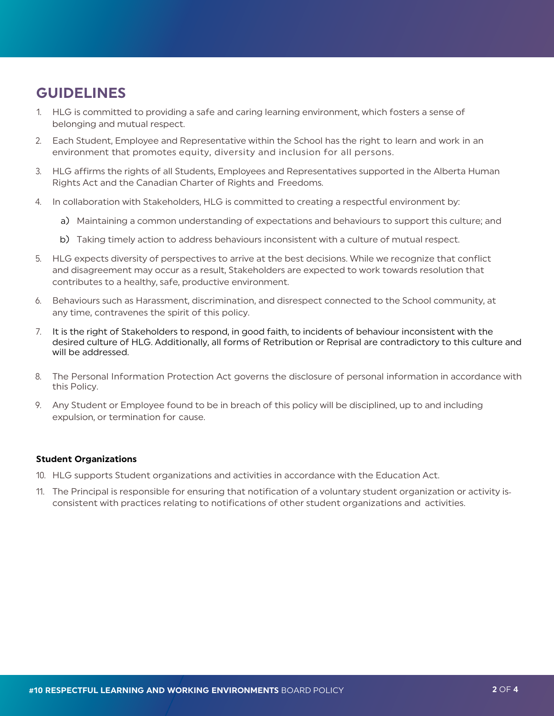# **GUIDELINES**

- 1. HLG is committed to providing a safe and caring learning environment, which fosters a sense of belonging and mutual respect.
- 2. Each Student, Employee and Representative within the School has the right to learn and work in an environment that promotes equity, diversity and inclusion for all persons.
- 3. HLG affirms the rights of all Students, Employees and Representatives supported in the Alberta Human Rights Act and the Canadian Charter of Rights and Freedoms.
- 4. In collaboration with Stakeholders, HLG is committed to creating a respectful environment by:
	- a) Maintaining a common understanding of expectations and behaviours to support this culture; and
	- b) Taking timely action to address behaviours inconsistent with a culture of mutual respect.
- 5. HLG expects diversity of perspectives to arrive at the best decisions. While we recognize that conflict and disagreement may occur as a result, Stakeholders are expected to work towards resolution that contributes to a healthy, safe, productive environment.
- 6. Behaviours such as Harassment, discrimination, and disrespect connected to the School community, at any time, contravenes the spirit of this policy.
- 7. It is the right of Stakeholders to respond, in good faith, to incidents of behaviour inconsistent with the desired culture of HLG. Additionally, all forms of Retribution or Reprisal are contradictory to this culture and will be addressed.
- 8. The Personal Information Protection Act governs the disclosure of personal information in accordance with this Policy.
- 9. Any Student or Employee found to be in breach of this policy will be disciplined, up to and including expulsion, or termination for cause.

#### **Student Organizations**

- 10. HLG supports Student organizations and activities in accordance with the Education Act.
- 11. The Principal is responsible for ensuring that notification of a voluntary student organization or activity is consistent with practices relating to notifications of other student organizations and activities.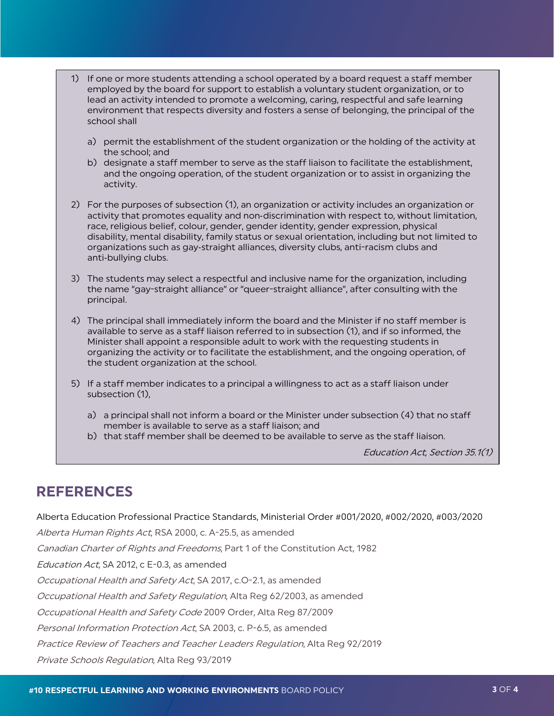- 1) If one or more students attending a school operated by a board request a staff member employed by the board for support to establish a voluntary student organization, or to lead an activity intended to promote a welcoming, caring, respectful and safe learning environment that respects diversity and fosters a sense of belonging, the principal of the school shall
	- a) permit the establishment of the student organization or the holding of the activity at the school; and
	- b) designate a staff member to serve as the staff liaison to facilitate the establishment, and the ongoing operation, of the student organization or to assist in organizing the activity.
- 2) For the purposes of subsection (1), an organization or activity includes an organization or activity that promotes equality and non‑discrimination with respect to, without limitation, race, religious belief, colour, gender, gender identity, gender expression, physical disability, mental disability, family status or sexual orientation, including but not limited to organizations such as gay‑straight alliances, diversity clubs, anti-racism clubs and anti-bullying clubs.
- 3) The students may select a respectful and inclusive name for the organization, including the name "gay-straight alliance" or "queer-straight alliance", after consulting with the principal.
- 4) The principal shall immediately inform the board and the Minister if no staff member is available to serve as a staff liaison referred to in subsection (1), and if so informed, the Minister shall appoint a responsible adult to work with the requesting students in organizing the activity or to facilitate the establishment, and the ongoing operation, of the student organization at the school.
- 5) If a staff member indicates to a principal a willingness to act as a staff liaison under subsection (1),
	- a) a principal shall not inform a board or the Minister under subsection (4) that no staff member is available to serve as a staff liaison; and
	- b) that staff member shall be deemed to be available to serve as the staff liaison.

Education Act, Section 35.1(1)

#### **REFERENCES**

Alberta Education Professional Practice Standards, Ministerial Order #001/2020, #002/2020, #003/2020

Alberta Human Rights Act, RSA 2000, c. A-25.5, as amended Canadian Charter of Rights and Freedoms, Part 1 of the Constitution Act, 1982 Education Act, SA 2012, c E-0.3, as amended Occupational Health and Safety Act, SA 2017, c.O-2.1, as amended Occupational Health and Safety Regulation, Alta Reg 62/2003, as amended Occupational Health and Safety Code 2009 Order, Alta Reg 87/2009 Personal Information Protection Act, SA 2003, c. P-6.5, as amended Practice Review of Teachers and Teacher Leaders Regulation, Alta Reg 92/2019

Private Schools Regulation, Alta Reg 93/2019